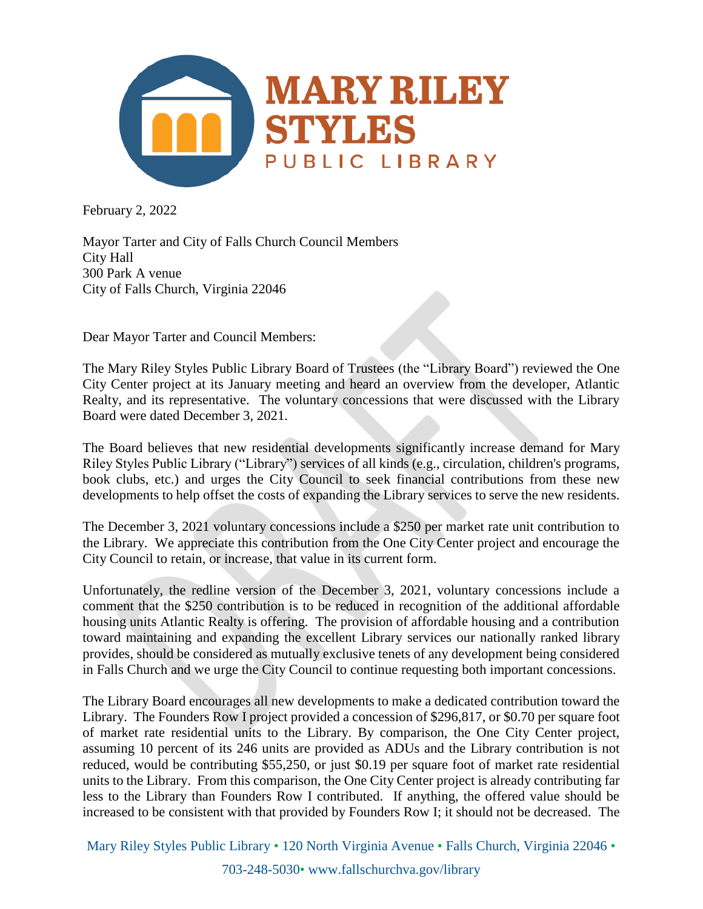

February 2, 2022

Mayor Tarter and City of Falls Church Council Members City Hall 300 Park A venue City of Falls Church, Virginia 22046

Dear Mayor Tarter and Council Members:

The Mary Riley Styles Public Library Board of Trustees (the "Library Board") reviewed the One City Center project at its January meeting and heard an overview from the developer, Atlantic Realty, and its representative. The voluntary concessions that were discussed with the Library Board were dated December 3, 2021.

The Board believes that new residential developments significantly increase demand for Mary Riley Styles Public Library ("Library") services of all kinds (e.g., circulation, children's programs, book clubs, etc.) and urges the City Council to seek financial contributions from these new developments to help offset the costs of expanding the Library services to serve the new residents.

The December 3, 2021 voluntary concessions include a \$250 per market rate unit contribution to the Library. We appreciate this contribution from the One City Center project and encourage the City Council to retain, or increase, that value in its current form.

Unfortunately, the redline version of the December 3, 2021, voluntary concessions include a comment that the \$250 contribution is to be reduced in recognition of the additional affordable housing units Atlantic Realty is offering. The provision of affordable housing and a contribution toward maintaining and expanding the excellent Library services our nationally ranked library provides, should be considered as mutually exclusive tenets of any development being considered in Falls Church and we urge the City Council to continue requesting both important concessions.

The Library Board encourages all new developments to make a dedicated contribution toward the Library. The Founders Row I project provided a concession of \$296,817, or \$0.70 per square foot of market rate residential units to the Library. By comparison, the One City Center project, assuming 10 percent of its 246 units are provided as ADUs and the Library contribution is not reduced, would be contributing \$55,250, or just \$0.19 per square foot of market rate residential units to the Library. From this comparison, the One City Center project is already contributing far less to the Library than Founders Row I contributed. If anything, the offered value should be increased to be consistent with that provided by Founders Row I; it should not be decreased. The